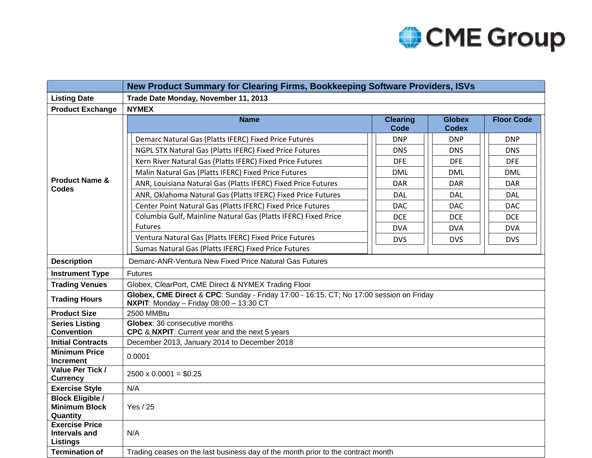

|                                                                  | New Product Summary for Clearing Firms, Bookkeeping Software Providers, ISVs                                                                |                                                                                  |                               |                   |  |  |  |  |  |
|------------------------------------------------------------------|---------------------------------------------------------------------------------------------------------------------------------------------|----------------------------------------------------------------------------------|-------------------------------|-------------------|--|--|--|--|--|
| <b>Listing Date</b>                                              | Trade Date Monday, November 11, 2013                                                                                                        |                                                                                  |                               |                   |  |  |  |  |  |
| <b>Product Exchange</b>                                          | <b>NYMEX</b>                                                                                                                                |                                                                                  |                               |                   |  |  |  |  |  |
| <b>Product Name &amp;</b><br><b>Codes</b>                        | <b>Name</b>                                                                                                                                 | <b>Clearing</b><br><b>Code</b>                                                   | <b>Globex</b><br><b>Codex</b> | <b>Floor Code</b> |  |  |  |  |  |
|                                                                  | Demarc Natural Gas (Platts IFERC) Fixed Price Futures                                                                                       | <b>DNP</b><br><b>DNS</b><br><b>DFE</b><br><b>DML</b><br><b>DAR</b><br><b>DAL</b> | <b>DNP</b>                    | <b>DNP</b>        |  |  |  |  |  |
|                                                                  | NGPL STX Natural Gas (Platts IFERC) Fixed Price Futures                                                                                     |                                                                                  | <b>DNS</b>                    | <b>DNS</b>        |  |  |  |  |  |
|                                                                  | Kern River Natural Gas (Platts IFERC) Fixed Price Futures                                                                                   |                                                                                  | <b>DFE</b>                    | <b>DFE</b>        |  |  |  |  |  |
|                                                                  | Malin Natural Gas (Platts IFERC) Fixed Price Futures                                                                                        |                                                                                  | <b>DML</b>                    | <b>DML</b>        |  |  |  |  |  |
|                                                                  | ANR, Louisiana Natural Gas (Platts IFERC) Fixed Price Futures                                                                               |                                                                                  | <b>DAR</b>                    | <b>DAR</b>        |  |  |  |  |  |
|                                                                  | ANR, Oklahoma Natural Gas (Platts IFERC) Fixed Price Futures                                                                                |                                                                                  | <b>DAL</b>                    | <b>DAL</b>        |  |  |  |  |  |
|                                                                  | Center Point Natural Gas (Platts IFERC) Fixed Price Futures                                                                                 | DAC                                                                              | <b>DAC</b>                    | <b>DAC</b>        |  |  |  |  |  |
|                                                                  | Columbia Gulf, Mainline Natural Gas (Platts IFERC) Fixed Price                                                                              | DCE.                                                                             | <b>DCE</b>                    | DCE               |  |  |  |  |  |
|                                                                  | <b>Futures</b>                                                                                                                              | <b>DVA</b>                                                                       | <b>DVA</b>                    | <b>DVA</b>        |  |  |  |  |  |
|                                                                  | Ventura Natural Gas (Platts IFERC) Fixed Price Futures                                                                                      | <b>DVS</b>                                                                       | <b>DVS</b>                    | <b>DVS</b>        |  |  |  |  |  |
|                                                                  | Sumas Natural Gas (Platts IFERC) Fixed Price Futures                                                                                        |                                                                                  |                               |                   |  |  |  |  |  |
| <b>Description</b>                                               | Demarc-ANR-Ventura New Fixed Price Natural Gas Futures                                                                                      |                                                                                  |                               |                   |  |  |  |  |  |
| <b>Instrument Type</b>                                           | <b>Futures</b>                                                                                                                              |                                                                                  |                               |                   |  |  |  |  |  |
| <b>Trading Venues</b>                                            | Globex, ClearPort, CME Direct & NYMEX Trading Floor                                                                                         |                                                                                  |                               |                   |  |  |  |  |  |
| <b>Trading Hours</b>                                             | Globex, CME Direct & CPC: Sunday - Friday 17:00 - 16:15, CT; No 17:00 session on Friday<br><b>NXPIT:</b> Monday - Friday $08:00 - 13:30$ CT |                                                                                  |                               |                   |  |  |  |  |  |
| <b>Product Size</b>                                              | 2500 MMBtu                                                                                                                                  |                                                                                  |                               |                   |  |  |  |  |  |
| <b>Series Listing</b>                                            | Globex: 36 consecutive months                                                                                                               |                                                                                  |                               |                   |  |  |  |  |  |
| <b>Convention</b>                                                | CPC & NXPIT: Current year and the next 5 years                                                                                              |                                                                                  |                               |                   |  |  |  |  |  |
| <b>Initial Contracts</b><br><b>Minimum Price</b>                 | December 2013, January 2014 to December 2018                                                                                                |                                                                                  |                               |                   |  |  |  |  |  |
| <b>Increment</b>                                                 | 0.0001                                                                                                                                      |                                                                                  |                               |                   |  |  |  |  |  |
| Value Per Tick /<br><b>Currency</b>                              | $2500 \times 0.0001 = $0.25$                                                                                                                |                                                                                  |                               |                   |  |  |  |  |  |
| <b>Exercise Style</b>                                            | N/A                                                                                                                                         |                                                                                  |                               |                   |  |  |  |  |  |
| <b>Block Eligible /</b><br><b>Minimum Block</b><br>Quantity      | Yes / 25                                                                                                                                    |                                                                                  |                               |                   |  |  |  |  |  |
| <b>Exercise Price</b><br><b>Intervals and</b><br><b>Listings</b> | N/A                                                                                                                                         |                                                                                  |                               |                   |  |  |  |  |  |
| <b>Termination of</b>                                            | Trading ceases on the last business day of the month prior to the contract month                                                            |                                                                                  |                               |                   |  |  |  |  |  |